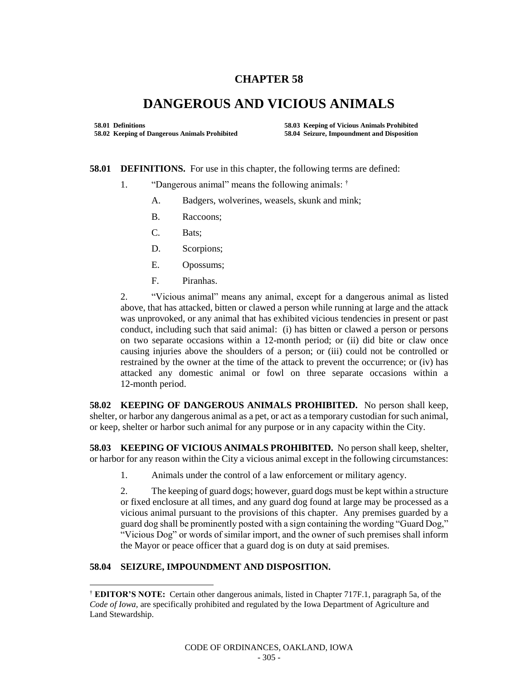## **CHAPTER 58**

## **DANGEROUS AND VICIOUS ANIMALS**

**58.01 Definitions 58.03 Keeping of Vicious Animals Prohibited 58.02 Keeping of Dangerous Animals Prohibited 58.04 Seizure, Impoundment and Disposition** 

**58.01 DEFINITIONS.** For use in this chapter, the following terms are defined:

- 1. "Dangerous animal" means the following animals: †
	- A. Badgers, wolverines, weasels, skunk and mink;
	- B. Raccoons;
	- C. Bats;
	- D. Scorpions;
	- E. Opossums;
	- F. Piranhas.

2. "Vicious animal" means any animal, except for a dangerous animal as listed above, that has attacked, bitten or clawed a person while running at large and the attack was unprovoked, or any animal that has exhibited vicious tendencies in present or past conduct, including such that said animal: (i) has bitten or clawed a person or persons on two separate occasions within a 12-month period; or (ii) did bite or claw once causing injuries above the shoulders of a person; or (iii) could not be controlled or restrained by the owner at the time of the attack to prevent the occurrence; or (iv) has attacked any domestic animal or fowl on three separate occasions within a 12-month period.

**58.02 KEEPING OF DANGEROUS ANIMALS PROHIBITED.** No person shall keep, shelter, or harbor any dangerous animal as a pet, or act as a temporary custodian for such animal, or keep, shelter or harbor such animal for any purpose or in any capacity within the City.

**58.03 KEEPING OF VICIOUS ANIMALS PROHIBITED.** No person shall keep, shelter, or harbor for any reason within the City a vicious animal except in the following circumstances:

1. Animals under the control of a law enforcement or military agency.

2. The keeping of guard dogs; however, guard dogs must be kept within a structure or fixed enclosure at all times, and any guard dog found at large may be processed as a vicious animal pursuant to the provisions of this chapter. Any premises guarded by a guard dog shall be prominently posted with a sign containing the wording "Guard Dog," "Vicious Dog" or words of similar import, and the owner of such premises shall inform the Mayor or peace officer that a guard dog is on duty at said premises.

## **58.04 SEIZURE, IMPOUNDMENT AND DISPOSITION.**

l

<sup>†</sup> **EDITOR'S NOTE:** Certain other dangerous animals, listed in Chapter 717F.1, paragraph 5a, of the *Code of Iowa,* are specifically prohibited and regulated by the Iowa Department of Agriculture and Land Stewardship.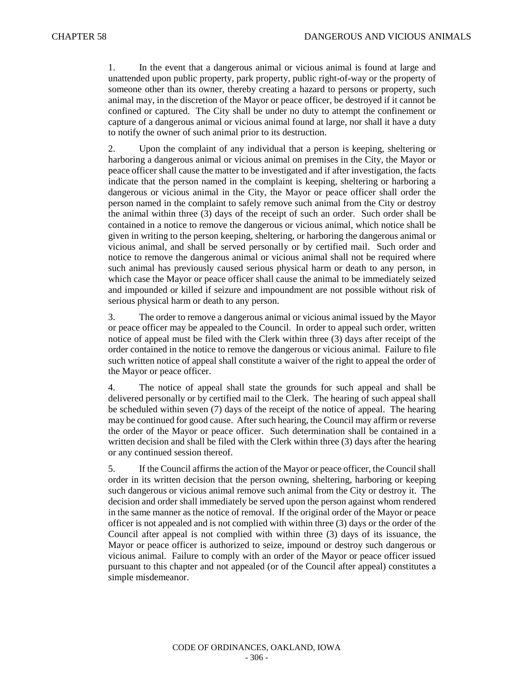1. In the event that a dangerous animal or vicious animal is found at large and unattended upon public property, park property, public right-of-way or the property of someone other than its owner, thereby creating a hazard to persons or property, such animal may, in the discretion of the Mayor or peace officer, be destroyed if it cannot be confined or captured. The City shall be under no duty to attempt the confinement or capture of a dangerous animal or vicious animal found at large, nor shall it have a duty to notify the owner of such animal prior to its destruction.

2. Upon the complaint of any individual that a person is keeping, sheltering or harboring a dangerous animal or vicious animal on premises in the City, the Mayor or peace officer shall cause the matter to be investigated and if after investigation, the facts indicate that the person named in the complaint is keeping, sheltering or harboring a dangerous or vicious animal in the City, the Mayor or peace officer shall order the person named in the complaint to safely remove such animal from the City or destroy the animal within three (3) days of the receipt of such an order. Such order shall be contained in a notice to remove the dangerous or vicious animal, which notice shall be given in writing to the person keeping, sheltering, or harboring the dangerous animal or vicious animal, and shall be served personally or by certified mail. Such order and notice to remove the dangerous animal or vicious animal shall not be required where such animal has previously caused serious physical harm or death to any person, in which case the Mayor or peace officer shall cause the animal to be immediately seized and impounded or killed if seizure and impoundment are not possible without risk of serious physical harm or death to any person.

3. The order to remove a dangerous animal or vicious animal issued by the Mayor or peace officer may be appealed to the Council. In order to appeal such order, written notice of appeal must be filed with the Clerk within three (3) days after receipt of the order contained in the notice to remove the dangerous or vicious animal. Failure to file such written notice of appeal shall constitute a waiver of the right to appeal the order of the Mayor or peace officer.

4. The notice of appeal shall state the grounds for such appeal and shall be delivered personally or by certified mail to the Clerk. The hearing of such appeal shall be scheduled within seven (7) days of the receipt of the notice of appeal. The hearing may be continued for good cause. After such hearing, the Council may affirm or reverse the order of the Mayor or peace officer. Such determination shall be contained in a written decision and shall be filed with the Clerk within three (3) days after the hearing or any continued session thereof.

5. If the Council affirms the action of the Mayor or peace officer, the Council shall order in its written decision that the person owning, sheltering, harboring or keeping such dangerous or vicious animal remove such animal from the City or destroy it. The decision and order shall immediately be served upon the person against whom rendered in the same manner as the notice of removal. If the original order of the Mayor or peace officer is not appealed and is not complied with within three (3) days or the order of the Council after appeal is not complied with within three (3) days of its issuance, the Mayor or peace officer is authorized to seize, impound or destroy such dangerous or vicious animal. Failure to comply with an order of the Mayor or peace officer issued pursuant to this chapter and not appealed (or of the Council after appeal) constitutes a simple misdemeanor.